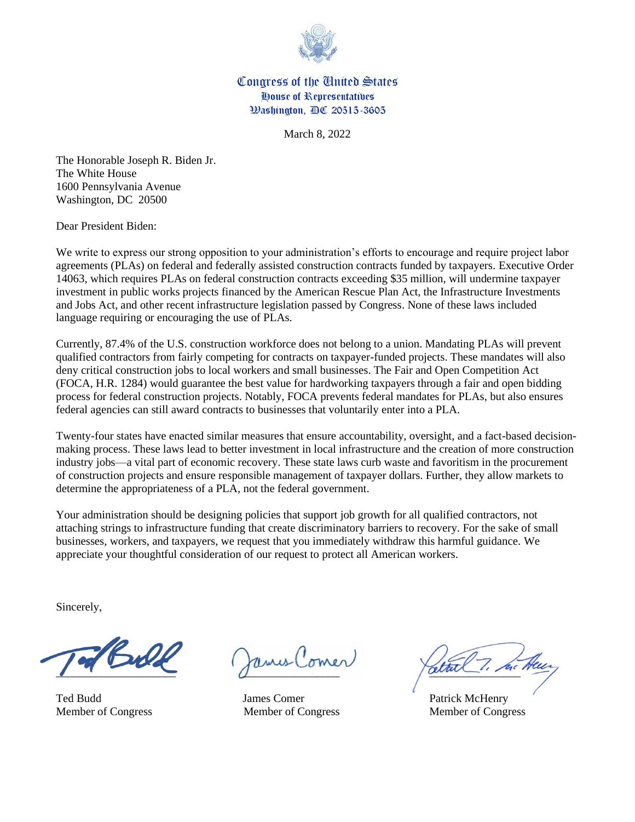

## Congress of the United States **Douse of Representatives Washington, DC 20515-3605**

March 8, 2022

The Honorable Joseph R. Biden Jr. The White House 1600 Pennsylvania Avenue Washington, DC 20500

Dear President Biden:

We write to express our strong opposition to your administration's efforts to encourage and require project labor agreements (PLAs) on federal and federally assisted construction contracts funded by taxpayers. Executive Order 14063, which requires PLAs on federal construction contracts exceeding \$35 million, will undermine taxpayer investment in public works projects financed by the American Rescue Plan Act, the Infrastructure Investments and Jobs Act, and other recent infrastructure legislation passed by Congress. None of these laws included language requiring or encouraging the use of PLAs.

Currently, 87.4% of the U.S. construction workforce does not belong to a union. Mandating PLAs will prevent qualified contractors from fairly competing for contracts on taxpayer-funded projects. These mandates will also deny critical construction jobs to local workers and small businesses. The Fair and Open Competition Act (FOCA, H.R. 1284) would guarantee the best value for hardworking taxpayers through a fair and open bidding process for federal construction projects. Notably, FOCA prevents federal mandates for PLAs, but also ensures federal agencies can still award contracts to businesses that voluntarily enter into a PLA.

Twenty-four states have enacted similar measures that ensure accountability, oversight, and a fact-based decisionmaking process. These laws lead to better investment in local infrastructure and the creation of more construction industry jobs—a vital part of economic recovery. These state laws curb waste and favoritism in the procurement of construction projects and ensure responsible management of taxpayer dollars. Further, they allow markets to determine the appropriateness of a PLA, not the federal government.

Your administration should be designing policies that support job growth for all qualified contractors, not attaching strings to infrastructure funding that create discriminatory barriers to recovery. For the sake of small businesses, workers, and taxpayers, we request that you immediately withdraw this harmful guidance. We appreciate your thoughtful consideration of our request to protect all American workers.

Sincerely,

Bill  $\int$  avant  $\int$  avant  $\int$  avant  $\int$ 

Ted Budd James Comer Patrick McHenry Member of Congress Member of Congress Member of Congress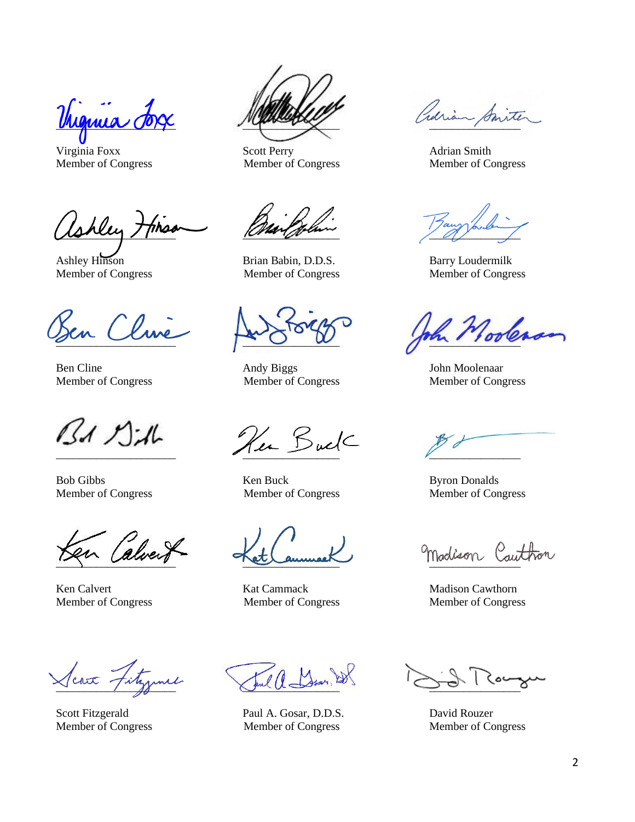Virginia Jox Manufactor Curian Smith

Virginia Foxx Scott Perry Scott Perry Adrian Smith Member of Congress Member of Congress Member of Congress

Cohley Hines

\_\_\_\_\_\_\_\_\_\_\_\_\_\_\_\_\_\_\_\_\_ \_\_\_\_\_\_\_\_\_\_\_\_\_\_\_\_\_ \_\_\_\_\_\_\_\_\_\_\_\_\_\_\_\_

 $BA$   $D-A$ 

and the most of the moment of the most of the most of the most of the most of the most of the most of the most of the most of the most of the most of the most of the most of the most of the most of the most of the most of

Scart Fitzyme Jul 0-

Ashley Hinson Brian Babin, D.D.S. Barry Loudermilk Member of Congress Member of Congress Member of Congress

Ben Cline Andy Biggs Andy Biggs John Moolenaar Member of Congress Member of Congress Member of Congress

 $\frac{1}{2}$   $\frac{1}{2}$   $\frac{1}{2}$   $\frac{1}{2}$   $\frac{1}{2}$   $\frac{1}{2}$   $\frac{1}{2}$   $\frac{1}{2}$   $\frac{1}{2}$   $\frac{1}{2}$   $\frac{1}{2}$   $\frac{1}{2}$   $\frac{1}{2}$   $\frac{1}{2}$   $\frac{1}{2}$   $\frac{1}{2}$   $\frac{1}{2}$   $\frac{1}{2}$   $\frac{1}{2}$   $\frac{1}{2}$   $\frac{1}{2}$   $\frac{1}{2}$ 

Bob Gibbs Ken Buck Byron Donalds

Ken Calvert **Kat Cammack** Madison Cawthorn Member of Congress Member of Congress Member of Congress

Scott Fitzgerald Paul A. Gosar, D.D.S. David Rouzer Member of Congress Member of Congress Member of Congress

Member of Congress Member of Congress Member of Congress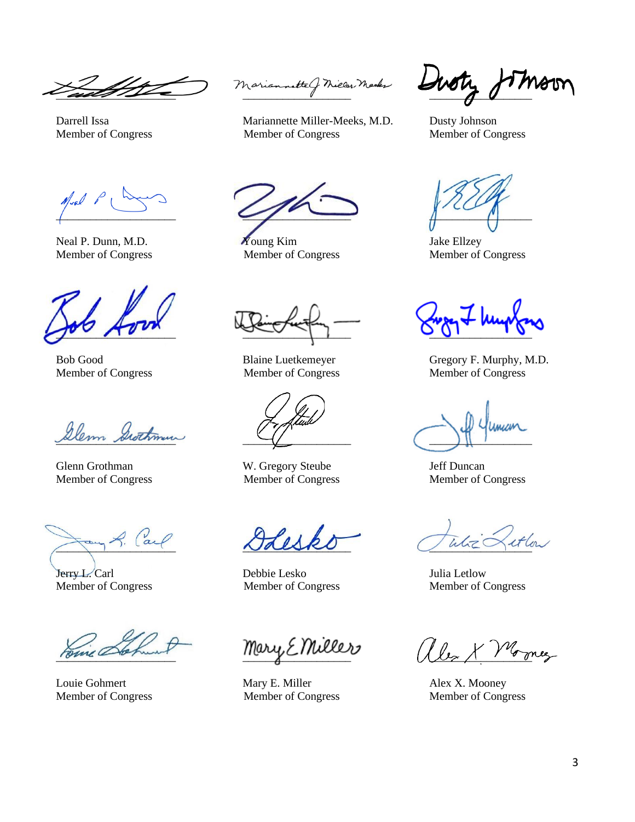2lem Swithmur

Member of Congress Member of Congress Member of Congress

 $\bigwedge_{u \in \mathbb{Z}} \bigwedge_{u \in \mathbb{Z}} u \cup \bigwedge_{u \in \mathbb{Z}} \bigwedge_{u \in \mathbb{Z}} u \cup \bigwedge_{u \in \mathbb{Z}} u \cup \bigwedge_{u \in \mathbb{Z}} u \cup \bigwedge_{u \in \mathbb{Z}} u \cup \bigwedge_{u \in \mathbb{Z}} u \bigwedge_{u \in \mathbb{Z}} u \bigwedge_{u \in \mathbb{Z}} u \bigwedge_{u \in \mathbb{Z}} u \bigwedge_{u \in \mathbb{Z}} u \bigwedge_{u \in \mathbb{Z}} u \bigwedge_{u \in \mathbb{Z}} u \big$ 

Jerry L. Carl Debbie Lesko Julia Letlow Member of Congress Member of Congress Member of Congress

Mariannette of Micen Meder With

Darrell Issa Mariannette Miller-Meeks, M.D. Dusty Johnson Member of Congress Member of Congress Member of Congress

 $\overline{a}$   $\overline{a}$   $\overline{a}$   $\overline{a}$   $\overline{a}$   $\overline{a}$   $\overline{a}$   $\overline{a}$   $\overline{a}$   $\overline{a}$   $\overline{a}$   $\overline{a}$   $\overline{a}$   $\overline{a}$   $\overline{a}$   $\overline{a}$   $\overline{a}$   $\overline{a}$   $\overline{a}$   $\overline{a}$   $\overline{a}$   $\overline{a}$   $\overline{a}$   $\overline{a}$   $\overline{$ 

Neal P. Dunn, M.D. **Young Kim** Jake Ellzey

 $\frac{1}{\sqrt{2}}$ 

Member of Congress Member of Congress Member of Congress

Glenn Grothman W. Gregory Steube Jeff Duncan

Louie Gohmert **Mary E. Miller** Alex X. Mooney

Member of Congress Member of Congress Member of Congress

Bob Good Blaine Luetkemeyer Gregory F. Murphy, M.D.

**MAZAN** 

 $\mathbb{P}$  and  $\mathbb{P}$  mary Emillers (beg x Mooney

Member of Congress Member of Congress Member of Congress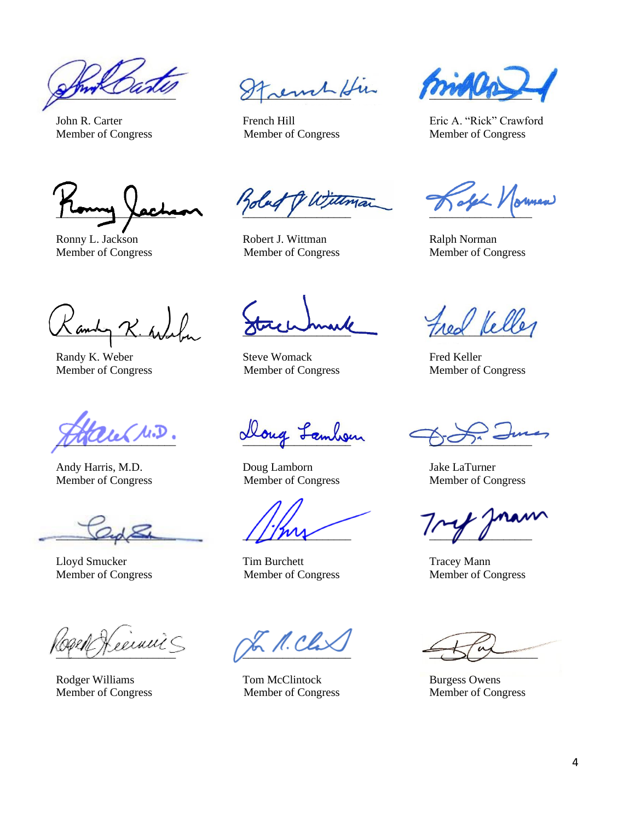Randy K. Weber Steve Womack Fred Keller Member of Congress Member of Congress Member of Congress

Andy Harris, M.D. Doug Lamborn Jake LaTurner Member of Congress Member of Congress Member of Congress

 $\mathcal{L}_{\mathcal{A}}$ 

 $\frac{1}{2}$ 

Fremch Hin

Willma  $\frac{1}{2}$ 

Ronny L. Jackson **Robert J. Wittman** Ralph Norman Ralph Norman Member of Congress Member of Congress Member of Congress

 $\mathcal{L}_{amb} \propto \mathcal{L}_{\text{min}}$  streethment free lelles

 $e\in \mathcal{M} \cdot \mathcal{D}$ . alloug Lambour

Lloyd Smucker Tim Burchett Tracey Mann Member of Congress Member of Congress Member of Congress

Rodger Williams Tom McClintock Burgess Owens Member of Congress Member of Congress Member of Congress

John R. Carter French Hill Eric A. "Rick" Crawford Member of Congress Member of Congress Member of Congress